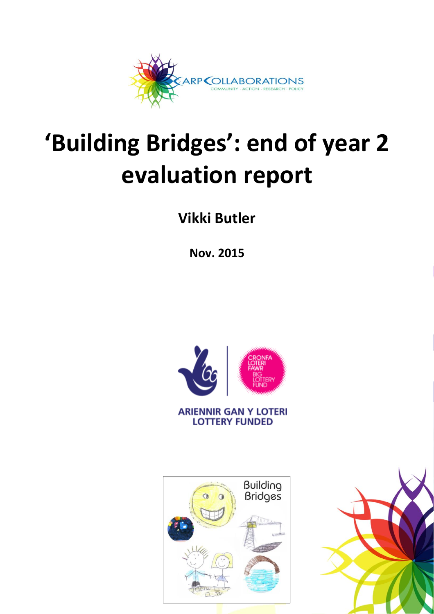

# **'Building Bridges': end of year 2 evaluation report**

**Vikki Butler**

**Nov. 2015**



**ARIENNIR GAN Y LOTERI LOTTERY FUNDED** 



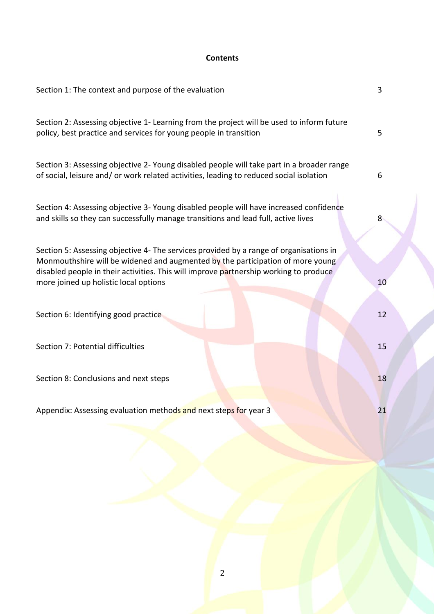# **Contents**

| Section 1: The context and purpose of the evaluation                                                                                                                                                                                                                                                       | 3  |
|------------------------------------------------------------------------------------------------------------------------------------------------------------------------------------------------------------------------------------------------------------------------------------------------------------|----|
| Section 2: Assessing objective 1- Learning from the project will be used to inform future<br>policy, best practice and services for young people in transition                                                                                                                                             | 5  |
| Section 3: Assessing objective 2- Young disabled people will take part in a broader range<br>of social, leisure and/ or work related activities, leading to reduced social isolation                                                                                                                       | 6  |
| Section 4: Assessing objective 3- Young disabled people will have increased confidence<br>and skills so they can successfully manage transitions and lead full, active lives                                                                                                                               | 8  |
| Section 5: Assessing objective 4- The services provided by a range of organisations in<br>Monmouthshire will be widened and augmented by the participation of more young<br>disabled people in their activities. This will improve partnership working to produce<br>more joined up holistic local options | 10 |
| Section 6: Identifying good practice                                                                                                                                                                                                                                                                       | 12 |
| Section 7: Potential difficulties                                                                                                                                                                                                                                                                          | 15 |
| Section 8: Conclusions and next steps                                                                                                                                                                                                                                                                      | 18 |
| Appendix: Assessing evaluation methods and next steps for year 3                                                                                                                                                                                                                                           | 21 |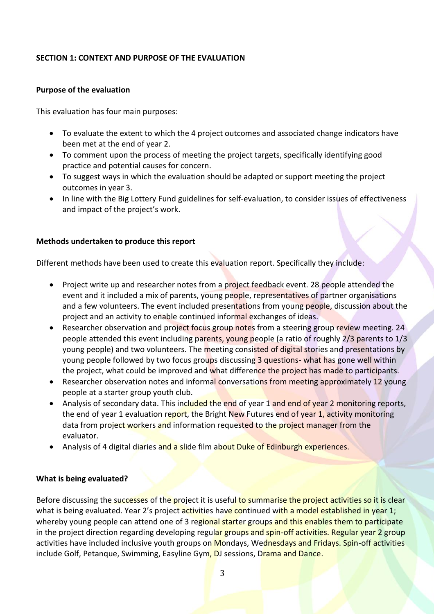## **SECTION 1: CONTEXT AND PURPOSE OF THE EVALUATION**

#### **Purpose of the evaluation**

This evaluation has four main purposes:

- To evaluate the extent to which the 4 project outcomes and associated change indicators have been met at the end of year 2.
- To comment upon the process of meeting the project targets, specifically identifying good practice and potential causes for concern.
- To suggest ways in which the evaluation should be adapted or support meeting the project outcomes in year 3.
- In line with the Big Lottery Fund guidelines for self-evaluation, to consider issues of effectiveness and impact of the project's work.

#### **Methods undertaken to produce this report**

Different methods have been used to create this evaluation report. Specifically they include:

- Project write up and researcher notes from a project feedback event. 28 people attended the event and it included a mix of parents, young people, representatives of partner organisations and a few volunteers. The event included presentations from young people, discussion about the project and an activity to enable continued informal exchanges of ideas.
- Researcher observation and project focus group notes from a steering group review meeting. 24 people attended this event including parents, young people (a ratio of roughly 2/3 parents to 1/3 young people) and two volunteers. The meeting consisted of digital stories and presentations by young people followed by two focus groups discussing 3 questions- what has gone well within the project, what could be improved and what difference the project has made to participants.
- Researcher observation notes and informal conversations from meeting approximately 12 young people at a starter group youth club.
- Analysis of secondary data. This included the end of year 1 and end of year 2 monitoring reports, the end of year 1 evaluation report, the Bright New Futures end of year 1, activity monitoring data from project workers and information requested to the project manager from the evaluator.
- Analysis of 4 digital diaries and a slide film about Duke of Edinburgh experiences.

## **What is being evaluated?**

Before discussing the successes of the project it is useful to summarise the project activities so it is clear what is being evaluated. Year 2's project activities have continued with a model established in year 1; whereby young people can attend one of 3 regional starter groups and this enables them to participate in the project direction regarding developing regular groups and spin-off activities. Regular year 2 group activities have included inclusive youth groups on Mondays, Wednesdays and Fridays. Spin-off activities include Golf, Petanque, Swimming, Easyline Gym, DJ sessions, Drama and Dance.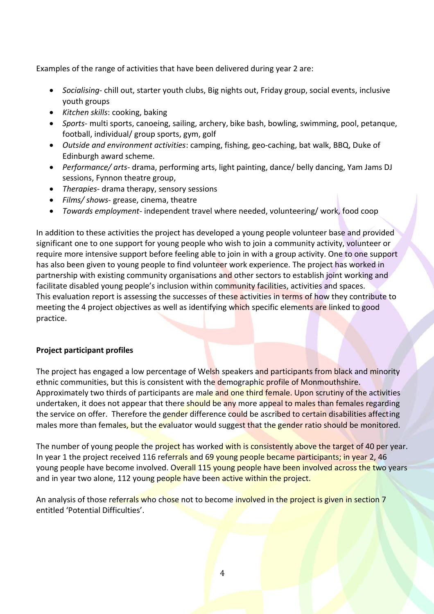Examples of the range of activities that have been delivered during year 2 are:

- *Socialising* chill out, starter youth clubs, Big nights out, Friday group, social events, inclusive youth groups
- *Kitchen skills*: cooking, baking
- *Sports* multi sports, canoeing, sailing, archery, bike bash, bowling, swimming, pool, petanque, football, individual/ group sports, gym, golf
- *Outside and environment activities*: camping, fishing, geo-caching, bat walk, BBQ, Duke of Edinburgh award scheme.
- *Performance/ arts* drama, performing arts, light painting, dance/ belly dancing, Yam Jams DJ sessions, Fynnon theatre group,
- *Therapies* drama therapy, sensory sessions
- *Films/ shows* grease, cinema, theatre
- *Towards employment* independent travel where needed, volunteering/ work, food coop

In addition to these activities the project has developed a young people volunteer base and provided significant one to one support for young people who wish to join a community activity, volunteer or require more intensive support before feeling able to join in with a group activity. One to one support has also been given to young people to find volunteer work experience. The project has worked in partnership with existing community organisations and other sectors to establish joint working and facilitate disabled young people's inclusion within community facilities, activities and spaces. This evaluation report is assessing the successes of these activities in terms of how they contribute to meeting the 4 project objectives as well as identifying which specific elements are linked to good practice.

## **Project participant profiles**

The project has engaged a low percentage of Welsh speakers and participants from black and minority ethnic communities, but this is consistent with the demographic profile of Monmouthshire. Approximately two thirds of participants are male and one third female. Upon scrutiny of the activities undertaken, it does not appear that there should be any more appeal to males than females regarding the service on offer. Therefore the gender difference could be ascribed to certain disabilities affecting males more than females, but the evaluator would suggest that the gender ratio should be monitored.

The number of young people the project has worked with is consistently above the target of 40 per year. In year 1 the project received 116 referrals and 69 young people became participants; in year 2, 46 young people have become involved. Overall 115 young people have been involved across the two years and in year two alone, 112 young people have been active within the project.

An analysis of those referrals who chose not to become involved in the project is given in section 7 entitled 'Potential Difficulties'.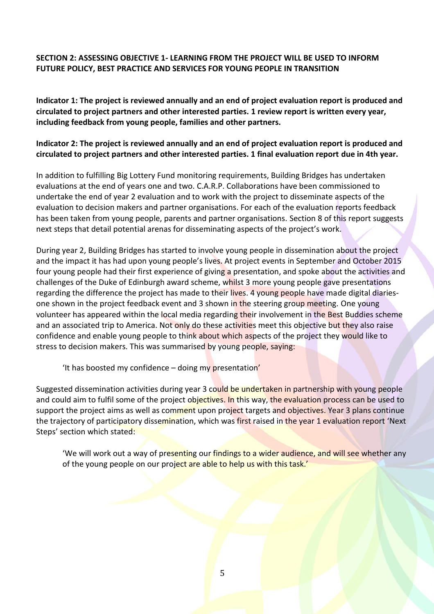## **SECTION 2: ASSESSING OBJECTIVE 1- LEARNING FROM THE PROJECT WILL BE USED TO INFORM FUTURE POLICY, BEST PRACTICE AND SERVICES FOR YOUNG PEOPLE IN TRANSITION**

**Indicator 1: The project is reviewed annually and an end of project evaluation report is produced and circulated to project partners and other interested parties. 1 review report is written every year, including feedback from young people, families and other partners.**

## **Indicator 2: The project is reviewed annually and an end of project evaluation report is produced and circulated to project partners and other interested parties. 1 final evaluation report due in 4th year.**

In addition to fulfilling Big Lottery Fund monitoring requirements, Building Bridges has undertaken evaluations at the end of years one and two. C.A.R.P. Collaborations have been commissioned to undertake the end of year 2 evaluation and to work with the project to disseminate aspects of the evaluation to decision makers and partner organisations. For each of the evaluation reports feedback has been taken from young people, parents and partner organisations. Section 8 of this report suggests next steps that detail potential arenas for disseminating aspects of the project's work.

During year 2, Building Bridges has started to involve young people in dissemination about the project and the impact it has had upon young people's lives. At project events in September and October 2015 four young people had their first experience of giving a presentation, and spoke about the activities and challenges of the Duke of Edinburgh award scheme, whilst 3 more young people gave presentations regarding the difference the project has made to their lives. 4 young people have made digital diariesone shown in the project feedback event and 3 shown in the steering group meeting. One young volunteer has appeared within the local media regarding their involvement in the Best Buddies scheme and an associated trip to America. Not only do these activities meet this objective but they also raise confidence and enable young people to think about which aspects of the project they would like to stress to decision makers. This was summarised by young people, saying:

'It has boosted my confidence – doing my presentation'

Suggested dissemination activities during year 3 could be undertaken in partnership with young people and could aim to fulfil some of the project objectives. In this way, the evaluation process can be used to support the project aims as well as comment upon project targets and objectives. Year 3 plans continue the trajectory of participatory dissemination, which was first raised in the year 1 evaluation report 'Next Steps' section which stated:

'We will work out a way of presenting our findings to a wider audience, and will see whether any of the young people on our project are able to help us with this task.'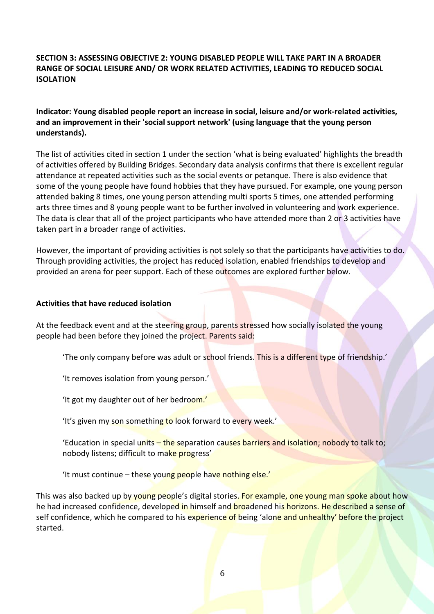## **SECTION 3: ASSESSING OBJECTIVE 2: YOUNG DISABLED PEOPLE WILL TAKE PART IN A BROADER RANGE OF SOCIAL LEISURE AND/ OR WORK RELATED ACTIVITIES, LEADING TO REDUCED SOCIAL ISOLATION**

## **Indicator: Young disabled people report an increase in social, leisure and/or work-related activities, and an improvement in their 'social support network' (using language that the young person understands).**

The list of activities cited in section 1 under the section 'what is being evaluated' highlights the breadth of activities offered by Building Bridges. Secondary data analysis confirms that there is excellent regular attendance at repeated activities such as the social events or petanque. There is also evidence that some of the young people have found hobbies that they have pursued. For example, one young person attended baking 8 times, one young person attending multi sports 5 times, one attended performing arts three times and 8 young people want to be further involved in volunteering and work experience. The data is clear that all of the project participants who have attended more than 2 or 3 activities have taken part in a broader range of activities.

However, the important of providing activities is not solely so that the participants have activities to do. Through providing activities, the project has reduced isolation, enabled friendships to develop and provided an arena for peer support. Each of these outcomes are explored further below.

#### **Activities that have reduced isolation**

At the feedback event and at the steering group, parents stressed how socially isolated the young people had been before they joined the project. Parents said:

'The only company before was adult or school friends. This is a different type of friendship.'

'It removes isolation from young person.'

'It got my daughter out of her bedroom.'

'It's given my son something to look forward to every week.'

'Education in special units – the separation causes barriers and isolation; nobody to talk to; nobody listens; difficult to make progress'

'It must continue – these young people have nothing else.'

This was also backed up by young people's digital stories. For example, one young man spoke about how he had increased confidence, developed in himself and broadened his horizons. He described a sense of self confidence, which he compared to his experience of being 'alone and unhealthy' before the project started.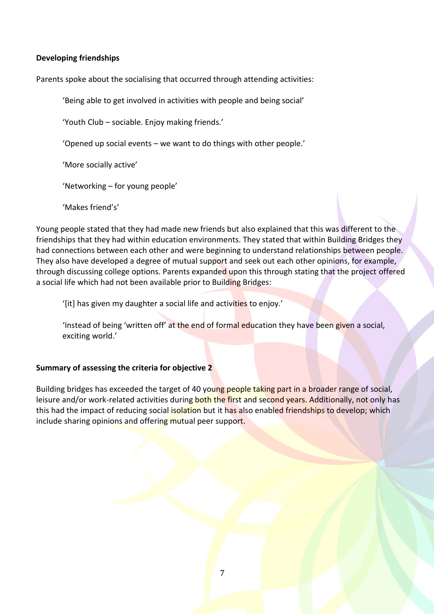#### **Developing friendships**

Parents spoke about the socialising that occurred through attending activities:

'Being able to get involved in activities with people and being social'

'Youth Club – sociable. Enjoy making friends.'

'Opened up social events – we want to do things with other people.'

'More socially active'

'Networking – for young people'

'Makes friend's'

Young people stated that they had made new friends but also explained that this was different to the friendships that they had within education environments. They stated that within Building Bridges they had connections between each other and were beginning to understand relationships between people. They also have developed a degree of mutual support and seek out each other opinions, for example, through discussing college options. Parents expanded upon this through stating that the project offered a social life which had not been available prior to Building Bridges:

'[it] has given my daughter a social life and activities to enjoy.'

'Instead of being 'written off' at the end of formal education they have been given a social, exciting world.'

## **Summary of assessing the criteria for objective 2**

Building bridges has exceeded the target of 40 young people taking part in a broader range of social, leisure and/or work-related activities during both the first and second years. Additionally, not only has this had the impact of reducing social isolation but it has also enabled friendships to develop; which include sharing opinions and offering mutual peer support.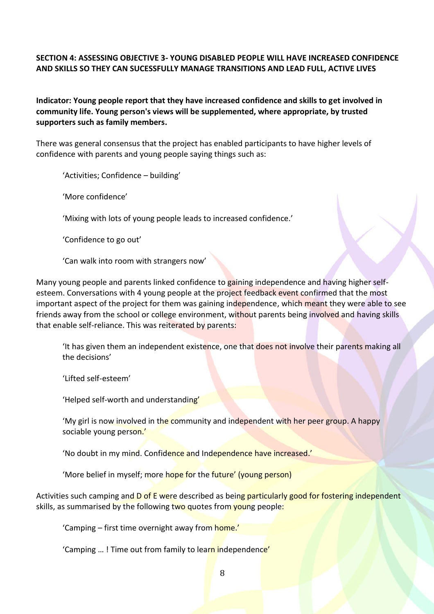## **SECTION 4: ASSESSING OBJECTIVE 3- YOUNG DISABLED PEOPLE WILL HAVE INCREASED CONFIDENCE AND SKILLS SO THEY CAN SUCESSFULLY MANAGE TRANSITIONS AND LEAD FULL, ACTIVE LIVES**

**Indicator: Young people report that they have increased confidence and skills to get involved in community life. Young person's views will be supplemented, where appropriate, by trusted supporters such as family members.**

There was general consensus that the project has enabled participants to have higher levels of confidence with parents and young people saying things such as:

'Activities; Confidence – building'

'More confidence'

'Mixing with lots of young people leads to increased confidence.'

'Confidence to go out'

'Can walk into room with strangers now'

Many young people and parents linked confidence to gaining independence and having higher selfesteem. Conversations with 4 young people at the project feedback event confirmed that the most important aspect of the project for them was gaining independence, which meant they were able to see friends away from the school or college environment, without parents being involved and having skills that enable self-reliance. This was reiterated by parents:

'It has given them an independent existence, one that does not involve their parents making all the decisions'

'Lifted self-esteem'

'Helped self-worth and understanding'

'My girl is now involved in the community and independent with her peer group. A happy sociable young person.'

'No doubt in my mind. Confidence and Independence have increased.'

'More belief in myself; more hope for the future' (young person)

Activities such camping and D of E were described as being particularly good for fostering independent skills, as summarised by the following two quotes from young people:

'Camping – first time overnight away from home.'

'Camping ...! Time out from family to learn independence'

8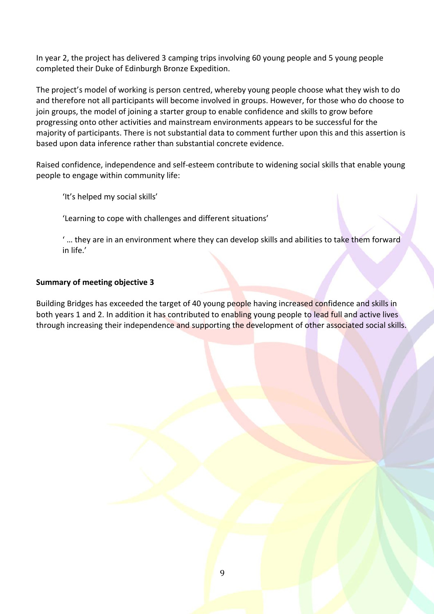In year 2, the project has delivered 3 camping trips involving 60 young people and 5 young people completed their Duke of Edinburgh Bronze Expedition.

The project's model of working is person centred, whereby young people choose what they wish to do and therefore not all participants will become involved in groups. However, for those who do choose to join groups, the model of joining a starter group to enable confidence and skills to grow before progressing onto other activities and mainstream environments appears to be successful for the majority of participants. There is not substantial data to comment further upon this and this assertion is based upon data inference rather than substantial concrete evidence.

Raised confidence, independence and self-esteem contribute to widening social skills that enable young people to engage within community life:

'It's helped my social skills'

'Learning to cope with challenges and different situations'

' … they are in an environment where they can develop skills and abilities to take them forward in life.'

## **Summary of meeting objective 3**

Building Bridges has exceeded the target of 40 young people having increased confidence and skills in both years 1 and 2. In addition it has contributed to enabling young people to lead full and active lives through increasing their independence and supporting the development of other associated social skills.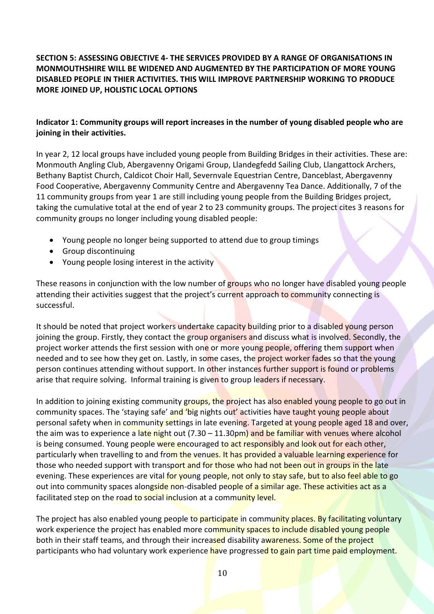# **SECTION 5: ASSESSING OBJECTIVE 4- THE SERVICES PROVIDED BY A RANGE OF ORGANISATIONS IN MONMOUTHSHIRE WILL BE WIDENED AND AUGMENTED BY THE PARTICIPATION OF MORE YOUNG DISABLED PEOPLE IN THIER ACTIVITIES. THIS WILL IMPROVE PARTNERSHIP WORKING TO PRODUCE MORE JOINED UP, HOLISTIC LOCAL OPTIONS**

## **Indicator 1: Community groups will report increases in the number of young disabled people who are joining in their activities.**

In year 2, 12 local groups have included young people from Building Bridges in their activities. These are: Monmouth Angling Club, Abergavenny Origami Group, Llandegfedd Sailing Club, Llangattock Archers, Bethany Baptist Church, Caldicot Choir Hall, Severnvale Equestrian Centre, Danceblast, Abergavenny Food Cooperative, Abergavenny Community Centre and Abergavenny Tea Dance. Additionally, 7 of the 11 community groups from year 1 are still including young people from the Building Bridges project, taking the cumulative total at the end of year 2 to 23 community groups. The project cites 3 reasons for community groups no longer including young disabled people:

- Young people no longer being supported to attend due to group timings
- Group discontinuing
- Young people losing interest in the activity

These reasons in conjunction with the low number of groups who no longer have disabled young people attending their activities suggest that the project's current approach to community connecting is successful.

It should be noted that project workers undertake capacity building prior to a disabled young person joining the group. Firstly, they contact the group organisers and discuss what is involved. Secondly, the project worker attends the first session with one or more young people, offering them support when needed and to see how they get on. Lastly, in some cases, the project worker fades so that the young person continues attending without support. In other instances further support is found or problems arise that require solving. Informal training is given to group leaders if necessary.

In addition to joining existing community groups, the project has also enabled young people to go out in community spaces. The 'staying safe' and 'big nights out' activities have taught young people about personal safety when in community settings in late evening. Targeted at young people aged 18 and over, the aim was to experience a late night out (7.30 – 11.30pm) and be familiar with venues where alcohol is being consumed. Young people were encouraged to act responsibly and look out for each other, particularly when travelling to and from the venues. It has provided a valuable learning experience for those who needed support with transport and for those who had not been out in groups in the late evening. These experiences are vital for young people, not only to stay safe, but to also feel able to go out into community spaces alongside non-disabled people of a similar age. These activities act as a facilitated step on the road to social inclusion at a community level.

The project has also enabled young people to participate in community places. By facilitating voluntary work experience the project has enabled more community spaces to include disabled young people both in their staff teams, and through their increased disability awareness. Some of the project participants who had voluntary work experience have progressed to gain part time paid employment.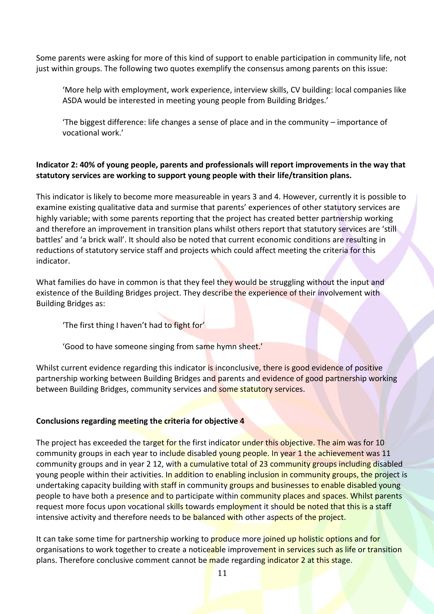Some parents were asking for more of this kind of support to enable participation in community life, not just within groups. The following two quotes exemplify the consensus among parents on this issue:

'More help with employment, work experience, interview skills, CV building: local companies like ASDA would be interested in meeting young people from Building Bridges.'

'The biggest difference: life changes a sense of place and in the community – importance of vocational work.'

## **Indicator 2: 40% of young people, parents and professionals will report improvements in the way that statutory services are working to support young people with their life/transition plans.**

This indicator is likely to become more measureable in years 3 and 4. However, currently it is possible to examine existing qualitative data and surmise that parents' experiences of other statutory services are highly variable; with some parents reporting that the project has created better partnership working and therefore an improvement in transition plans whilst others report that statutory services are 'still battles' and 'a brick wall'. It should also be noted that current economic conditions are resulting in reductions of statutory service staff and projects which could affect meeting the criteria for this indicator.

What families do have in common is that they feel they would be struggling without the input and existence of the Building Bridges project. They describe the experience of their involvement with Building Bridges as:

'The first thing I haven't had to fight for'

'Good to have someone singing from same hymn sheet.'

Whilst current evidence regarding this indicator is inconclusive, there is good evidence of positive partnership working between Building Bridges and parents and evidence of good partnership working between Building Bridges, community services and some statutory services.

## **Conclusions regarding meeting the criteria for objective 4**

The project has exceeded the target for the first indicator under this objective. The aim was for 10 community groups in each year to include disabled young people. In year 1 the achievement was 11 community groups and in year 2 12, with a cumulative total of 23 community groups including disabled young people within their activities. In addition to enabling inclusion in community groups, the project is undertaking capacity building with staff in community groups and businesses to enable disabled young people to have both a presence and to participate within community places and spaces. Whilst parents request more focus upon vocational skills towards employment it should be noted that this is a staff intensive activity and therefore needs to be balanced with other aspects of the project.

It can take some time for partnership working to produce more joined up holistic options and for organisations to work together to create a noticeable improvement in services such as life or transition plans. Therefore conclusive comment cannot be made regarding indicator 2 at this stage.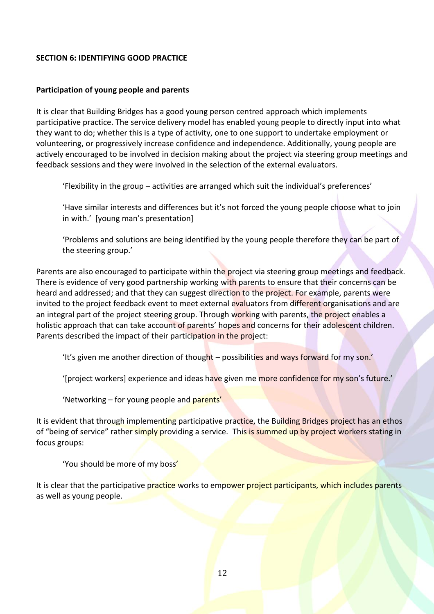#### **SECTION 6: IDENTIFYING GOOD PRACTICE**

#### **Participation of young people and parents**

It is clear that Building Bridges has a good young person centred approach which implements participative practice. The service delivery model has enabled young people to directly input into what they want to do; whether this is a type of activity, one to one support to undertake employment or volunteering, or progressively increase confidence and independence. Additionally, young people are actively encouraged to be involved in decision making about the project via steering group meetings and feedback sessions and they were involved in the selection of the external evaluators.

'Flexibility in the group – activities are arranged which suit the individual's preferences'

'Have similar interests and differences but it's not forced the young people choose what to join in with.' [young man's presentation]

'Problems and solutions are being identified by the young people therefore they can be part of the steering group.'

Parents are also encouraged to participate within the project via steering group meetings and feedback. There is evidence of very good partnership working with parents to ensure that their concerns can be heard and addressed; and that they can suggest direction to the project. For example, parents were invited to the project feedback event to meet external evaluators from different organisations and are an integral part of the project steering group. Through working with parents, the project enables a holistic approach that can take account of parents' hopes and concerns for their adolescent children. Parents described the impact of their participation in the project:

'It's given me another direction of thought – possibilities and ways forward for my son.'

'[project workers] experience and ideas have given me more confidence for my son's future.'

'Networking – for young people and parents'

It is evident that through implementing participative practice, the Building Bridges project has an ethos of "being of service" rather simply providing a service. This is summed up by project workers stating in focus groups:

'You should be more of my boss'

It is clear that the participative practice works to empower project participants, which includes parents as well as young people.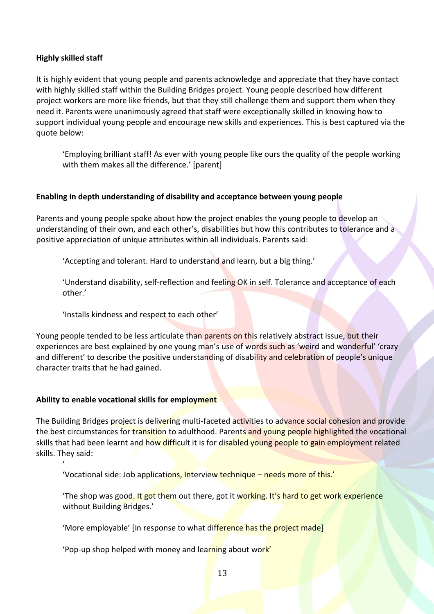## **Highly skilled staff**

It is highly evident that young people and parents acknowledge and appreciate that they have contact with highly skilled staff within the Building Bridges project. Young people described how different project workers are more like friends, but that they still challenge them and support them when they need it. Parents were unanimously agreed that staff were exceptionally skilled in knowing how to support individual young people and encourage new skills and experiences. This is best captured via the quote below:

'Employing brilliant staff! As ever with young people like ours the quality of the people working with them makes all the difference.' [parent]

#### **Enabling in depth understanding of disability and acceptance between young people**

Parents and young people spoke about how the project enables the young people to develop an understanding of their own, and each other's, disabilities but how this contributes to tolerance and a positive appreciation of unique attributes within all individuals. Parents said:

'Accepting and tolerant. Hard to understand and learn, but a big thing.'

'Understand disability, self-reflection and feeling OK in self. Tolerance and acceptance of each other.'

'Installs kindness and respect to each other'

Young people tended to be less articulate than parents on this relatively abstract issue, but their experiences are best explained by one young man's use of words such as 'weird and wonderful' 'crazy and different' to describe the positive understanding of disability and celebration of people's unique character traits that he had gained.

#### **Ability to enable vocational skills for employment**

'

The Building Bridges project is delivering multi-faceted activities to advance social cohesion and provide the best circumstances for transition to adulthood. Parents and young people highlighted the vocational skills that had been learnt and how difficult it is for disabled young people to gain employment related skills. They said:

'Vocational side: Job applications, Interview technique – needs more of this.'

The shop was good. It got them out there, got it working. It's hard to get work experience without Building Bridges.'

'More employable' [in response to what difference has the project made]

'Pop-up shop helped with money and learning about work'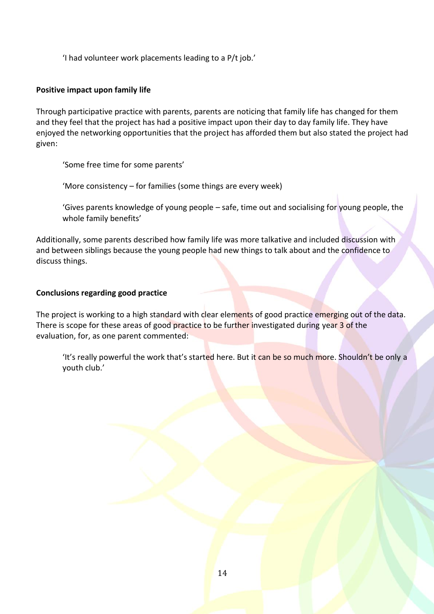'I had volunteer work placements leading to a P/t job.'

## **Positive impact upon family life**

Through participative practice with parents, parents are noticing that family life has changed for them and they feel that the project has had a positive impact upon their day to day family life. They have enjoyed the networking opportunities that the project has afforded them but also stated the project had given:

'Some free time for some parents'

'More consistency – for families (some things are every week)

'Gives parents knowledge of young people – safe, time out and socialising for young people, the whole family benefits'

Additionally, some parents described how family life was more talkative and included discussion with and between siblings because the young people had new things to talk about and the confidence to discuss things.

## **Conclusions regarding good practice**

The project is working to a high standard with clear elements of good practice emerging out of the data. There is scope for these areas of good practice to be further investigated during year 3 of the evaluation, for, as one parent commented:

'It's really powerful the work that's started here. But it can be so much more. Shouldn't be only a youth club.'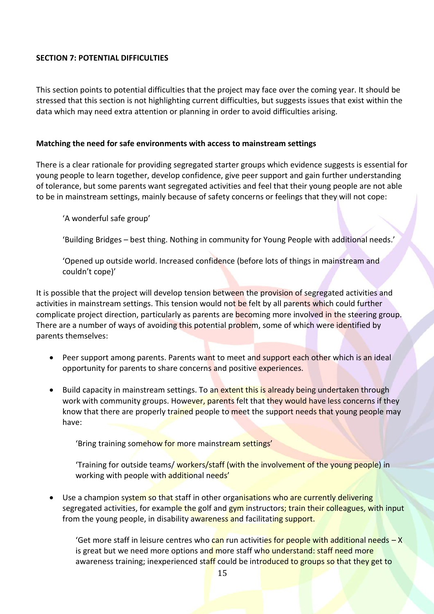## **SECTION 7: POTENTIAL DIFFICULTIES**

This section points to potential difficulties that the project may face over the coming year. It should be stressed that this section is not highlighting current difficulties, but suggests issues that exist within the data which may need extra attention or planning in order to avoid difficulties arising.

#### **Matching the need for safe environments with access to mainstream settings**

There is a clear rationale for providing segregated starter groups which evidence suggests is essential for young people to learn together, develop confidence, give peer support and gain further understanding of tolerance, but some parents want segregated activities and feel that their young people are not able to be in mainstream settings, mainly because of safety concerns or feelings that they will not cope:

'A wonderful safe group'

'Building Bridges – best thing. Nothing in community for Young People with additional needs.'

'Opened up outside world. Increased confidence (before lots of things in mainstream and couldn't cope)'

It is possible that the project will develop tension between the provision of segregated activities and activities in mainstream settings. This tension would not be felt by all parents which could further complicate project direction, particularly as parents are becoming more involved in the steering group. There are a number of ways of avoiding this potential problem, some of which were identified by parents themselves:

- Peer support among parents. Parents want to meet and support each other which is an ideal opportunity for parents to share concerns and positive experiences.
- Build capacity in mainstream settings. To an extent this is already being undertaken through work with community groups. However, parents felt that they would have less concerns if they know that there are properly trained people to meet the support needs that young people may have:

'Bring training somehow for more mainstream settings'

'Training for outside teams/ workers/staff (with the involvement of the young people) in working with people with additional needs'

Use a champion system so that staff in other organisations who are currently delivering segregated activities, for example the golf and gym instructors; train their colleagues, with input from the young people, in disability awareness and facilitating support.

'Get more staff in leisure centres who can run activities for people with additional needs - X is great but we need more options and more staff who understand: staff need more awareness training; inexperienced staff could be introduced to groups so that they get to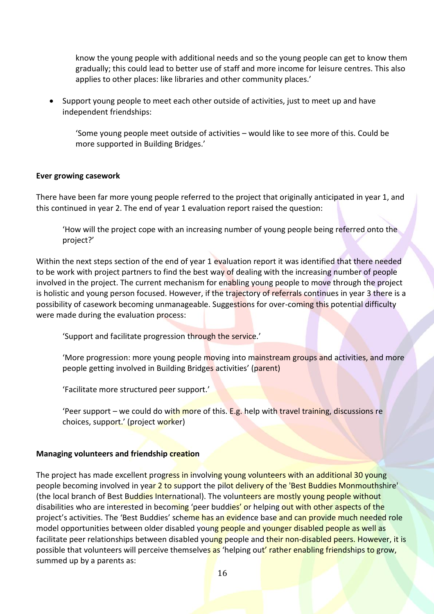know the young people with additional needs and so the young people can get to know them gradually; this could lead to better use of staff and more income for leisure centres. This also applies to other places: like libraries and other community places.'

 Support young people to meet each other outside of activities, just to meet up and have independent friendships:

'Some young people meet outside of activities – would like to see more of this. Could be more supported in Building Bridges.'

#### **Ever growing casework**

There have been far more young people referred to the project that originally anticipated in year 1, and this continued in year 2. The end of year 1 evaluation report raised the question:

'How will the project cope with an increasing number of young people being referred onto the project?'

Within the next steps section of the end of year 1 evaluation report it was identified that there needed to be work with project partners to find the best way of dealing with the increasing number of people involved in the project. The current mechanism for enabling young people to move through the project is holistic and young person focused. However, if the trajectory of referrals continues in year 3 there is a possibility of casework becoming unmanageable. Suggestions for over-coming this potential difficulty were made during the evaluation process:

'Support and facilitate progression through the service.'

'More progression: more young people moving into mainstream groups and activities, and more people getting involved in Building Bridges activities' (parent)

'Facilitate more structured peer support.'

'Peer support – we could do with more of this. E.g. help with travel training, discussions re choices, support.' (project worker)

#### **Managing volunteers and friendship creation**

The project has made excellent progress in involving young volunteers with an additional 30 young people becoming involved in year 2 to support the pilot delivery of the 'Best Buddies Monmouthshire' (the local branch of Best Buddies International). The volunteers are mostly young people without disabilities who are interested in becoming 'peer buddies' or helping out with other aspects of the project's activities. The 'Best Buddies' scheme has an evidence base and can provide much needed role model opportunities between older disabled young people and younger disabled people as well as facilitate peer relationships between disabled young people and their non-disabled peers. However, it is possible that volunteers will perceive themselves as 'helping out' rather enabling friendships to grow, summed up by a parents as: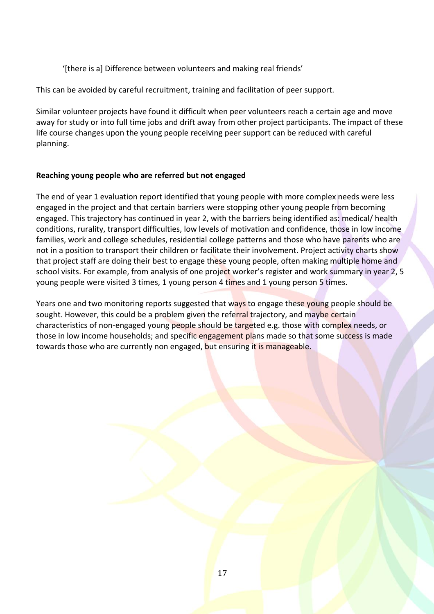'[there is a] Difference between volunteers and making real friends'

This can be avoided by careful recruitment, training and facilitation of peer support.

Similar volunteer projects have found it difficult when peer volunteers reach a certain age and move away for study or into full time jobs and drift away from other project participants. The impact of these life course changes upon the young people receiving peer support can be reduced with careful planning.

## **Reaching young people who are referred but not engaged**

The end of year 1 evaluation report identified that young people with more complex needs were less engaged in the project and that certain barriers were stopping other young people from becoming engaged. This trajectory has continued in year 2, with the barriers being identified as: medical/ health conditions, rurality, transport difficulties, low levels of motivation and confidence, those in low income families, work and college schedules, residential college patterns and those who have parents who are not in a position to transport their children or facilitate their involvement. Project activity charts show that project staff are doing their best to engage these young people, often making multiple home and school visits. For example, from analysis of one project worker's register and work summary in year 2, 5 young people were visited 3 times, 1 young person 4 times and 1 young person 5 times.

Years one and two monitoring reports suggested that ways to engage these young people should be sought. However, this could be a problem given the referral trajectory, and maybe certain characteristics of non-engaged young people should be targeted e.g. those with complex needs, or those in low income households; and specific engagement plans made so that some success is made towards those who are currently non engaged, but ensuring it is manageable.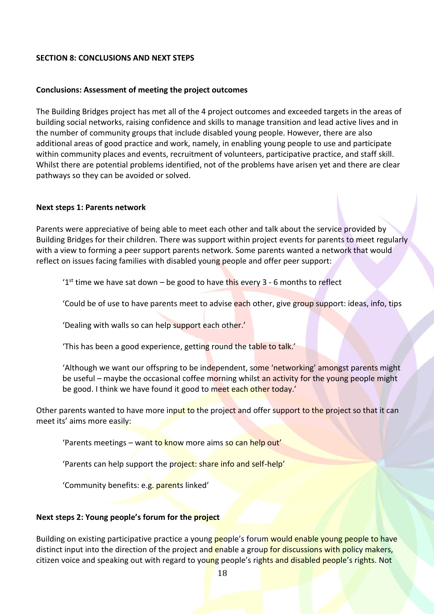#### **SECTION 8: CONCLUSIONS AND NEXT STEPS**

#### **Conclusions: Assessment of meeting the project outcomes**

The Building Bridges project has met all of the 4 project outcomes and exceeded targets in the areas of building social networks, raising confidence and skills to manage transition and lead active lives and in the number of community groups that include disabled young people. However, there are also additional areas of good practice and work, namely, in enabling young people to use and participate within community places and events, recruitment of volunteers, participative practice, and staff skill. Whilst there are potential problems identified, not of the problems have arisen yet and there are clear pathways so they can be avoided or solved.

#### **Next steps 1: Parents network**

Parents were appreciative of being able to meet each other and talk about the service provided by Building Bridges for their children. There was support within project events for parents to meet regularly with a view to forming a peer support parents network. Some parents wanted a network that would reflect on issues facing families with disabled young people and offer peer support:

'1<sup>st</sup> time we have sat down – be good to have this every 3 - 6 months to reflect

'Could be of use to have parents meet to advise each other, give group support: ideas, info, tips

'Dealing with walls so can help support each other.'

'This has been a good experience, getting round the table to talk.'

'Although we want our offspring to be independent, some 'networking' amongst parents might be useful – maybe the occasional coffee morning whilst an activity for the young people might be good. I think we have found it good to meet each other today.'

Other parents wanted to have more input to the project and offer support to the project so that it can meet its' aims more easily:

'Parents meetings – want to know more aims so can help out'

'Parents can help support the project: share info and self-help'

'Community benefits: e.g. parents linked'

## **Next steps 2: Young people's forum for the project**

Building on existing participative practice a young people's forum would enable young people to have distinct input into the direction of the project and enable a group for discussions with policy makers, citizen voice and speaking out with regard to young people's rights and disabled people's rights. Not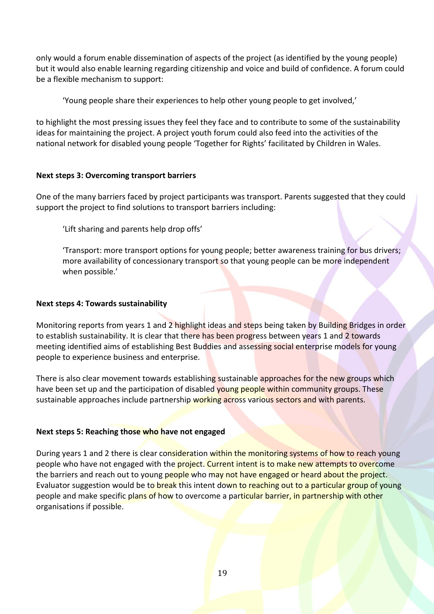only would a forum enable dissemination of aspects of the project (as identified by the young people) but it would also enable learning regarding citizenship and voice and build of confidence. A forum could be a flexible mechanism to support:

'Young people share their experiences to help other young people to get involved,'

to highlight the most pressing issues they feel they face and to contribute to some of the sustainability ideas for maintaining the project. A project youth forum could also feed into the activities of the national network for disabled young people 'Together for Rights' facilitated by Children in Wales.

## **Next steps 3: Overcoming transport barriers**

One of the many barriers faced by project participants was transport. Parents suggested that they could support the project to find solutions to transport barriers including:

'Lift sharing and parents help drop offs'

'Transport: more transport options for young people; better awareness training for bus drivers; more availability of concessionary transport so that young people can be more independent when possible.'

#### **Next steps 4: Towards sustainability**

Monitoring reports from years 1 and 2 highlight ideas and steps being taken by Building Bridges in order to establish sustainability. It is clear that there has been progress between years 1 and 2 towards meeting identified aims of establishing Best Buddies and assessing social enterprise models for young people to experience business and enterprise.

There is also clear movement towards establishing sustainable approaches for the new groups which have been set up and the participation of disabled young people within community groups. These sustainable approaches include partnership working across various sectors and with parents.

## **Next steps 5: Reaching those who have not engaged**

During years 1 and 2 there is clear consideration within the monitoring systems of how to reach young people who have not engaged with the **project. Current intent is to make new attempts to overc**ome the barriers and reach out to young people who may not have engaged or heard about the project. Evaluator suggestion would be to break this intent down to reaching out to a particular group of young people and make specific plans of how to overcome a particular barrier, in partnership with other organisations if possible.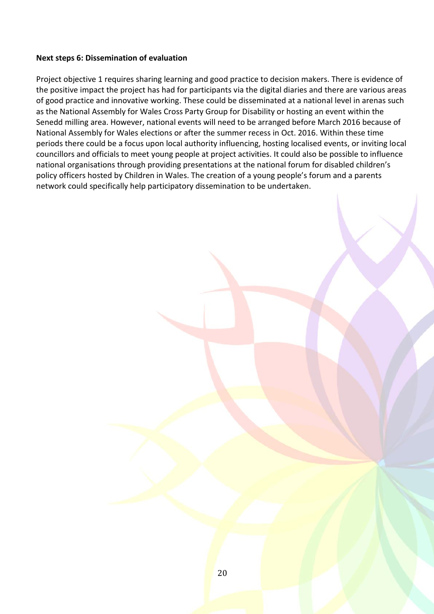#### **Next steps 6: Dissemination of evaluation**

Project objective 1 requires sharing learning and good practice to decision makers. There is evidence of the positive impact the project has had for participants via the digital diaries and there are various areas of good practice and innovative working. These could be disseminated at a national level in arenas such as the National Assembly for Wales Cross Party Group for Disability or hosting an event within the Senedd milling area. However, national events will need to be arranged before March 2016 because of National Assembly for Wales elections or after the summer recess in Oct. 2016. Within these time periods there could be a focus upon local authority influencing, hosting localised events, or inviting local councillors and officials to meet young people at project activities. It could also be possible to influence national organisations through providing presentations at the national forum for disabled children's policy officers hosted by Children in Wales. The creation of a young people's forum and a parents network could specifically help participatory dissemination to be undertaken.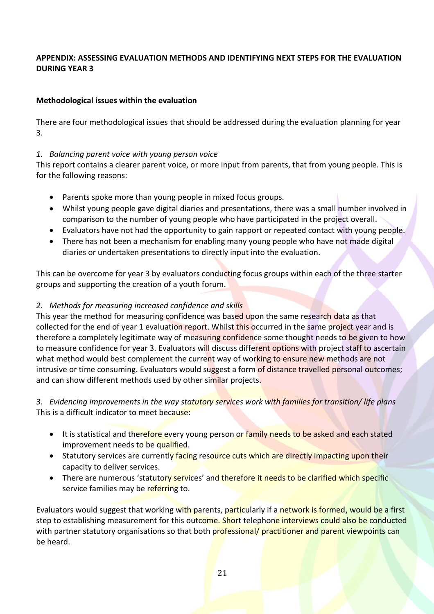# **APPENDIX: ASSESSING EVALUATION METHODS AND IDENTIFYING NEXT STEPS FOR THE EVALUATION DURING YEAR 3**

# **Methodological issues within the evaluation**

There are four methodological issues that should be addressed during the evaluation planning for year 3.

## *1. Balancing parent voice with young person voice*

This report contains a clearer parent voice, or more input from parents, that from young people. This is for the following reasons:

- Parents spoke more than young people in mixed focus groups.
- Whilst young people gave digital diaries and presentations, there was a small number involved in comparison to the number of young people who have participated in the project overall.
- Evaluators have not had the opportunity to gain rapport or repeated contact with young people.
- There has not been a mechanism for enabling many young people who have not made digital diaries or undertaken presentations to directly input into the evaluation.

This can be overcome for year 3 by evaluators conducting focus groups within each of the three starter groups and supporting the creation of a youth forum.

# *2. Methods for measuring increased confidence and skills*

This year the method for measuring confidence was based upon the same research data as that collected for the end of year 1 evaluation report. Whilst this occurred in the same project year and is therefore a completely legitimate way of measuring confidence some thought needs to be given to how to measure confidence for year 3. Evaluators will discuss different options with project staff to ascertain what method would best complement the current way of working to ensure new methods are not intrusive or time consuming. Evaluators would suggest a form of distance travelled personal outcomes; and can show different methods used by other similar projects.

*3. Evidencing improvements in the way statutory services work with families for transition/ life plans* This is a difficult indicator to meet because:

- It is statistical and therefore every young person or family needs to be asked and each stated improvement needs to be qualified.
- Statutory services are currently facing resource cuts which are directly impacting upon their capacity to deliver services.
- There are numerous 'statutory services' and therefore it needs to be clarified which specific service families may be referring to.

Evaluators would suggest that working with parents, particularly if a network is formed, would be a first step to establishing measurement for this outcome. Short telephone interviews could also be conducted with partner statutory organisations so that both professional/ practitioner and parent viewpoints can be heard.